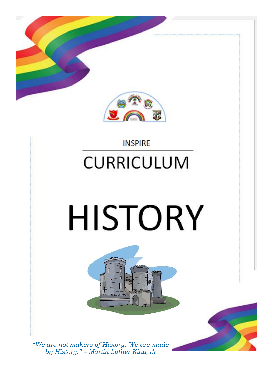

### **INSPIRE CURRICULUM**

# **HISTORY**





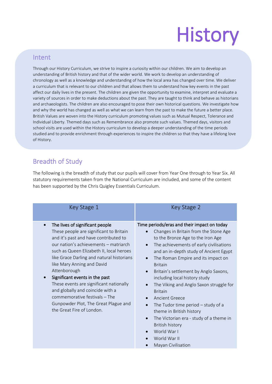# **History**

#### Intent

Through our History Curriculum, we strive to inspire a curiosity within our children. We aim to develop an understanding of British history and that of the wider world. We work to develop an understanding of chronology as well as a knowledge and understanding of how the local area has changed over time. We deliver a curriculum that is relevant to our children and that allows them to understand how key events in the past affect our daily lives in the present. The children are given the opportunity to examine, interpret and evaluate a variety of sources in order to make deductions about the past. They are taught to think and behave as historians and archaeologists. The children are also encouraged to pose their own historical questions. We investigate how and why the world has changed as well as what we can learn from the past to make the future a better place. British Values are woven into the History curriculum promoting values such as Mutual Respect, Tolerance and Individual Liberty. Themed days such as Remembrance also promote such values. Themed days, visitors and school visits are used within the History curriculum to develop a deeper understanding of the time periods studied and to provide enrichment through experiences to inspire the children so that they have a lifelong love of History.

#### Breadth of Study

The following is the breadth of study that our pupils will cover from Year One through to Year Six. All statutory requirements taken from the National Curriculum are included, and some of the content has been supported by the Chris Quigley Essentials Curriculum.

| Key Stage 1                                                                                                                                                                                                                                                                                                                                                                                                                                                                                                                | Key Stage 2                                                                                                                                                                                                                                                                                                                                                                                                                                                                                                                                                                                                                                                   |
|----------------------------------------------------------------------------------------------------------------------------------------------------------------------------------------------------------------------------------------------------------------------------------------------------------------------------------------------------------------------------------------------------------------------------------------------------------------------------------------------------------------------------|---------------------------------------------------------------------------------------------------------------------------------------------------------------------------------------------------------------------------------------------------------------------------------------------------------------------------------------------------------------------------------------------------------------------------------------------------------------------------------------------------------------------------------------------------------------------------------------------------------------------------------------------------------------|
| The lives of significant people<br>These people are significant to Britain<br>and it's past and have contributed to<br>our nation's achievements - matriarch<br>such as Queen Elizabeth II, local heroes<br>like Grace Darling and natural historians<br>like Mary Anning and David<br>Attenborough<br>Significant events in the past<br>These events are significant nationally<br>and globally and coincide with a<br>commemorative festivals - The<br>Gunpowder Plot, The Great Plague and<br>the Great Fire of London. | Time periods/eras and their impact on today<br>Changes in Britain from the Stone Age<br>to the Bronze Age to the Iron Age<br>The achievements of early civilisations<br>$\bullet$<br>and an in-depth study of Ancient Egypt<br>The Roman Empire and its impact on<br>$\bullet$<br><b>Britain</b><br>Britain's settlement by Anglo Saxons,<br>including local history study<br>The Viking and Anglo Saxon struggle for<br><b>Britain</b><br>Ancient Greece<br>The Tudor time period $-$ study of a<br>theme in British history<br>The Victorian era - study of a theme in<br>$\bullet$<br>British history<br>World War I<br>World War II<br>Mayan Civilisation |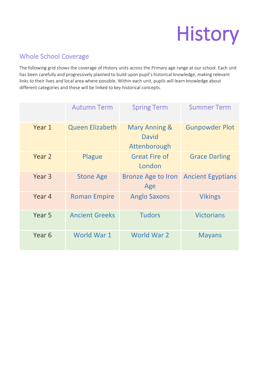## **History**

#### Whole School Coverage

The following grid shows the coverage of History units across the Primary age range at our school. Each unit has been carefully and progressively planned to build upon pupil's historical knowledge, making relevant links to their lives and local area where possible. Within each unit, pupils will learn knowledge about different categories and these will be linked to key historical concepts.

|                   | <b>Autumn Term</b>    | <b>Spring Term</b>                                       | <b>Summer Term</b>       |
|-------------------|-----------------------|----------------------------------------------------------|--------------------------|
| Year 1            | Queen Elizabeth       | <b>Mary Anning &amp;</b><br><b>David</b><br>Attenborough | <b>Gunpowder Plot</b>    |
| Year 2            | Plague                | <b>Great Fire of</b><br>London                           | <b>Grace Darling</b>     |
| Year <sub>3</sub> | <b>Stone Age</b>      | <b>Bronze Age to Iron</b><br>Age                         | <b>Ancient Egyptians</b> |
| Year 4            | <b>Roman Empire</b>   | <b>Anglo Saxons</b>                                      | <b>Vikings</b>           |
| Year 5            | <b>Ancient Greeks</b> | <b>Tudors</b>                                            | <b>Victorians</b>        |
| Year 6            | World War 1           | World War 2                                              | <b>Mayans</b>            |